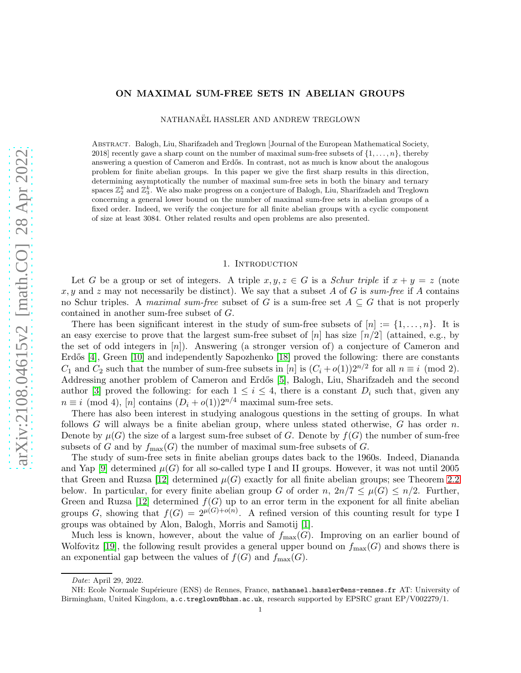# arXiv:2108.04615v2 [math.CO] 28 Apr 2022 [arXiv:2108.04615v2 \[math.CO\] 28 Apr 2022](http://arxiv.org/abs/2108.04615v2)

## ON MAXIMAL SUM-FREE SETS IN ABELIAN GROUPS

NATHANAEL HASSLER AND ANDREW TREGLOWN

Abstract. Balogh, Liu, Sharifzadeh and Treglown [Journal of the European Mathematical Society, 2018] recently gave a sharp count on the number of maximal sum-free subsets of  $\{1, \ldots, n\}$ , thereby answering a question of Cameron and Erdős. In contrast, not as much is know about the analogous problem for finite abelian groups. In this paper we give the first sharp results in this direction, determining asymptotically the number of maximal sum-free sets in both the binary and ternary spaces  $\mathbb{Z}_2^k$  and  $\mathbb{Z}_3^k$ . We also make progress on a conjecture of Balogh, Liu, Sharifzadeh and Treglown concerning a general lower bound on the number of maximal sum-free sets in abelian groups of a fixed order. Indeed, we verify the conjecture for all finite abelian groups with a cyclic component of size at least 3084. Other related results and open problems are also presented.

### 1. Introduction

Let G be a group or set of integers. A triple  $x, y, z \in G$  is a *Schur triple* if  $x + y = z$  (note  $x, y$  and z may not necessarily be distinct). We say that a subset A of G is  $sum-free$  if A contains no Schur triples. A *maximal sum-free* subset of G is a sum-free set  $A \subseteq G$  that is not properly contained in another sum-free subset of G.

There has been significant interest in the study of sum-free subsets of  $[n] := \{1, \ldots, n\}$ . It is an easy exercise to prove that the largest sum-free subset of  $[n]$  has size  $\lceil n/2 \rceil$  (attained, e.g., by the set of odd integers in [n]). Answering (a stronger version of) a conjecture of Cameron and Erdős [\[4\]](#page-17-0), Green [\[10\]](#page-17-1) and independently Sapozhenko [\[18\]](#page-17-2) proved the following: there are constants  $C_1$  and  $C_2$  such that the number of sum-free subsets in [n] is  $(C_i + o(1))2^{n/2}$  for all  $n \equiv i \pmod{2}$ . Addressing another problem of Cameron and Erdős [\[5\]](#page-17-3), Balogh, Liu, Sharifzadeh and the second author [\[3\]](#page-17-4) proved the following: for each  $1 \leq i \leq 4$ , there is a constant  $D_i$  such that, given any  $n \equiv i \pmod{4}$ , [n] contains  $(D_i + o(1))2^{n/4}$  maximal sum-free sets.

There has also been interest in studying analogous questions in the setting of groups. In what follows G will always be a finite abelian group, where unless stated otherwise,  $G$  has order  $n$ . Denote by  $\mu(G)$  the size of a largest sum-free subset of G. Denote by  $f(G)$  the number of sum-free subsets of G and by  $f_{\text{max}}(G)$  the number of maximal sum-free subsets of G.

The study of sum-free sets in finite abelian groups dates back to the 1960s. Indeed, Diananda and Yap [\[9\]](#page-17-5) determined  $\mu(G)$  for all so-called type I and II groups. However, it was not until 2005 that Green and Ruzsa [\[12\]](#page-17-6) determined  $\mu(G)$  exactly for all finite abelian groups; see Theorem [2.2](#page-2-0) below. In particular, for every finite abelian group G of order  $n, 2n/7 \leq \mu(G) \leq n/2$ . Further, Green and Ruzsa [\[12\]](#page-17-6) determined  $f(G)$  up to an error term in the exponent for all finite abelian groups G, showing that  $f(G) = 2^{\mu(G)+o(n)}$ . A refined version of this counting result for type I groups was obtained by Alon, Balogh, Morris and Samotij [\[1\]](#page-17-7).

Much less is known, however, about the value of  $f_{\text{max}}(G)$ . Improving on an earlier bound of Wolfovitz [\[19\]](#page-17-8), the following result provides a general upper bound on  $f_{\text{max}}(G)$  and shows there is an exponential gap between the values of  $f(G)$  and  $f_{\text{max}}(G)$ .

Date: April 29, 2022.

NH: Ecole Normale Supérieure (ENS) de Rennes, France, nathanael.hassler@ens-rennes.fr AT: University of Birmingham, United Kingdom, a.c.treglown@bham.ac.uk, research supported by EPSRC grant EP/V002279/1.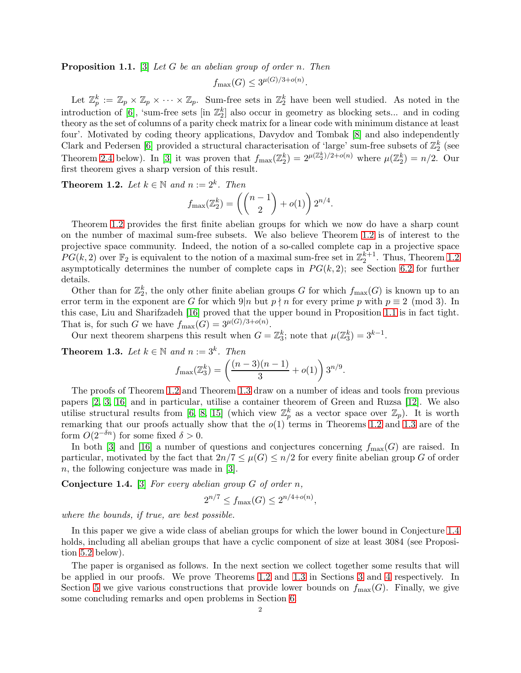<span id="page-1-1"></span>Proposition 1.1. [\[3\]](#page-17-4) *Let* G *be an abelian group of order* n*. Then*

$$
f_{\max}(G) \leq 3^{\mu(G)/3 + o(n)}.
$$

Let  $\mathbb{Z}_p^k := \mathbb{Z}_p \times \mathbb{Z}_p \times \cdots \times \mathbb{Z}_p$ . Sum-free sets in  $\mathbb{Z}_2^k$  have been well studied. As noted in the introduction of [\[6\]](#page-17-9), 'sum-free sets [in  $\mathbb{Z}_2^k$ ] also occur in geometry as blocking sets... and in coding theory as the set of columns of a parity check matrix for a linear code with minimum distance at least four'. Motivated by coding theory applications, Davydov and Tombak [\[8\]](#page-17-10) and also independently Clark and Pedersen [\[6\]](#page-17-9) provided a structural characterisation of 'large' sum-free subsets of  $\mathbb{Z}_2^k$  (see Theorem [2.4](#page-2-1) below). In [\[3\]](#page-17-4) it was proven that  $f_{\text{max}}(\mathbb{Z}_2^k) = 2^{\mu(\mathbb{Z}_2^k)/2 + o(n)}$  where  $\mu(\mathbb{Z}_2^k) = n/2$ . Our first theorem gives a sharp version of this result.

<span id="page-1-0"></span>**Theorem 1.2.** *Let*  $k \in \mathbb{N}$  *and*  $n := 2^k$ *. Then* 

$$
f_{\max}(\mathbb{Z}_2^k) = \left( \binom{n-1}{2} + o(1) \right) 2^{n/4}.
$$

Theorem [1.2](#page-1-0) provides the first finite abelian groups for which we now do have a sharp count on the number of maximal sum-free subsets. We also believe Theorem [1.2](#page-1-0) is of interest to the projective space community. Indeed, the notion of a so-called complete cap in a projective space  $PG(k, 2)$  over  $\mathbb{F}_2$  is equivalent to the notion of a maximal sum-free set in  $\mathbb{Z}_2^{k+1}$ . Thus, Theorem [1.2](#page-1-0) asymptotically determines the number of complete caps in  $PG(k, 2)$ ; see Section [6.2](#page-14-0) for further details.

Other than for  $\mathbb{Z}_2^k$ , the only other finite abelian groups G for which  $f_{\text{max}}(G)$  is known up to an error term in the exponent are G for which  $9|n$  but  $p \nmid n$  for every prime p with  $p \equiv 2 \pmod{3}$ . In this case, Liu and Sharifzadeh [\[16\]](#page-17-11) proved that the upper bound in Proposition [1.1](#page-1-1) is in fact tight. That is, for such G we have  $f_{\text{max}}(G) = 3^{\mu(G)/3 + o(n)}$ .

Our next theorem sharpens this result when  $G = \mathbb{Z}_3^k$ ; note that  $\mu(\mathbb{Z}_3^k) = 3^{k-1}$ .

<span id="page-1-2"></span>**Theorem 1.3.** *Let*  $k \in \mathbb{N}$  *and*  $n := 3^k$ *. Then* 

$$
f_{\max}(\mathbb{Z}_3^k) = \left(\frac{(n-3)(n-1)}{3} + o(1)\right) 3^{n/9}.
$$

The proofs of Theorem [1.2](#page-1-0) and Theorem [1.3](#page-1-2) draw on a number of ideas and tools from previous papers [\[2,](#page-17-12) [3,](#page-17-4) [16\]](#page-17-11) and in particular, utilise a container theorem of Green and Ruzsa [\[12\]](#page-17-6). We also utilise structural results from [\[6,](#page-17-9) [8,](#page-17-10) [15\]](#page-17-13) (which view  $\mathbb{Z}_p^k$  as a vector space over  $\mathbb{Z}_p$ ). It is worth remarking that our proofs actually show that the  $o(1)$  terms in Theorems [1.2](#page-1-0) and [1.3](#page-1-2) are of the form  $O(2^{-\delta n})$  for some fixed  $\delta > 0$ .

In both [\[3\]](#page-17-4) and [\[16\]](#page-17-11) a number of questions and conjectures concerning  $f_{\text{max}}(G)$  are raised. In particular, motivated by the fact that  $2n/7 \leq \mu(G) \leq n/2$  for every finite abelian group G of order n, the following conjecture was made in [\[3\]](#page-17-4).

<span id="page-1-3"></span>Conjecture 1.4. [\[3\]](#page-17-4) *For every abelian group* G *of order* n*,*

$$
2^{n/7} \le f_{\max}(G) \le 2^{n/4 + o(n)},
$$

*where the bounds, if true, are best possible.*

In this paper we give a wide class of abelian groups for which the lower bound in Conjecture [1.4](#page-1-3) holds, including all abelian groups that have a cyclic component of size at least 3084 (see Proposition [5.2](#page-14-1) below).

The paper is organised as follows. In the next section we collect together some results that will be applied in our proofs. We prove Theorems [1.2](#page-1-0) and [1.3](#page-1-2) in Sections [3](#page-4-0) and [4](#page-8-0) respectively. In Section [5](#page-12-0) we give various constructions that provide lower bounds on  $f_{\text{max}}(G)$ . Finally, we give some concluding remarks and open problems in Section [6.](#page-14-2)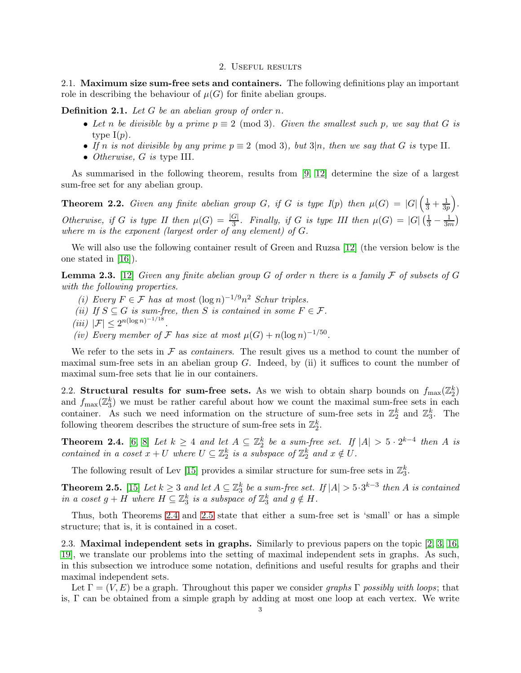### 2. Useful results

2.1. Maximum size sum-free sets and containers. The following definitions play an important role in describing the behaviour of  $\mu(G)$  for finite abelian groups.

Definition 2.1. *Let* G *be an abelian group of order* n*.*

- Let *n* be divisible by a prime  $p \equiv 2 \pmod{3}$ . Given the smallest such p, we say that G is type  $I(p)$ .
- If n is not divisible by any prime  $p \equiv 2 \pmod{3}$ , but  $3|n$ , then we say that G is type II.
- *Otherwise,* G *is* type III*.*

As summarised in the following theorem, results from [\[9,](#page-17-5) [12\]](#page-17-6) determine the size of a largest sum-free set for any abelian group.

<span id="page-2-0"></span>**Theorem 2.2.** Given any finite abelian group G, if G is type  $I(p)$  then  $\mu(G) = |G| \left( \frac{1}{3} + \frac{1}{3p} \right)$  $rac{1}{3p}\Big).$ *Otherwise, if* G *is type II then*  $\mu(G) = \frac{|G|}{3}$ *. Finally, if* G *is type III then*  $\mu(G) = |G| \left(\frac{1}{3} - \frac{1}{3n}\right)$  $\frac{1}{3m}$ *where* m *is the exponent (largest order of any element) of* G*.*

We will also use the following container result of Green and Ruzsa [\[12\]](#page-17-6) (the version below is the one stated in [\[16\]](#page-17-11)).

<span id="page-2-3"></span>Lemma 2.3. [\[12\]](#page-17-6) *Given any finite abelian group* G *of order* n *there is a family* F *of subsets of* G *with the following properties.*

- *(i) Every*  $F \text{ } \in \mathcal{F}$  *has at most*  $(\log n)^{-1/9} n^2$  *Schur triples.*
- *(ii)* If  $S \subseteq G$  *is sum-free, then* S *is contained in some*  $F \in \mathcal{F}$ *.*
- $(iii)$   $|\mathcal{F}| \leq 2^{n(\log n)^{-1/18}}$ .
- *(iv)* Every member of F has size at most  $\mu(G) + n(\log n)^{-1/50}$ .

We refer to the sets in  $\mathcal F$  as *containers*. The result gives us a method to count the number of maximal sum-free sets in an abelian group  $G$ . Indeed, by (ii) it suffices to count the number of maximal sum-free sets that lie in our containers.

2.2. Structural results for sum-free sets. As we wish to obtain sharp bounds on  $f_{\text{max}}(\mathbb{Z}_2^k)$ 2 and  $f_{\text{max}}(\mathbb{Z}_3^k)$  we must be rather careful about how we count the maximal sum-free sets in each container. As such we need information on the structure of sum-free sets in  $\mathbb{Z}_2^k$  and  $\mathbb{Z}_3^k$ . The following theorem describes the structure of sum-free sets in  $\mathbb{Z}_2^k$ .

<span id="page-2-1"></span>**Theorem 2.4.** [\[6,](#page-17-9) [8\]](#page-17-10) Let  $k \geq 4$  and let  $A \subseteq \mathbb{Z}_2^k$  be a sum-free set. If  $|A| > 5 \cdot 2^{k-4}$  then A is *contained in a coset*  $x + U$  *where*  $U \subseteq \mathbb{Z}_2^k$  *is a subspace of*  $\mathbb{Z}_2^k$  *and*  $x \notin U$ *.* 

The following result of Lev [\[15\]](#page-17-13) provides a similar structure for sum-free sets in  $\mathbb{Z}_3^k$ .

<span id="page-2-2"></span>**Theorem 2.5.** [\[15\]](#page-17-13) *Let*  $k \geq 3$  *and let*  $A \subseteq \mathbb{Z}_3^k$  *be a sum-free set. If*  $|A| > 5 \cdot 3^{k-3}$  *then A is contained in a coset*  $g + H$  *where*  $H \subseteq \mathbb{Z}_3^k$  *is a subspace of*  $\mathbb{Z}_3^k$  *and*  $g \notin H$ *.* 

Thus, both Theorems [2.4](#page-2-1) and [2.5](#page-2-2) state that either a sum-free set is 'small' or has a simple structure; that is, it is contained in a coset.

2.3. Maximal independent sets in graphs. Similarly to previous papers on the topic [\[2,](#page-17-12) [3,](#page-17-4) [16,](#page-17-11) [19\]](#page-17-8), we translate our problems into the setting of maximal independent sets in graphs. As such, in this subsection we introduce some notation, definitions and useful results for graphs and their maximal independent sets.

Let  $\Gamma = (V, E)$  be a graph. Throughout this paper we consider *graphs*  $\Gamma$  *possibly with loops*; that is, Γ can be obtained from a simple graph by adding at most one loop at each vertex. We write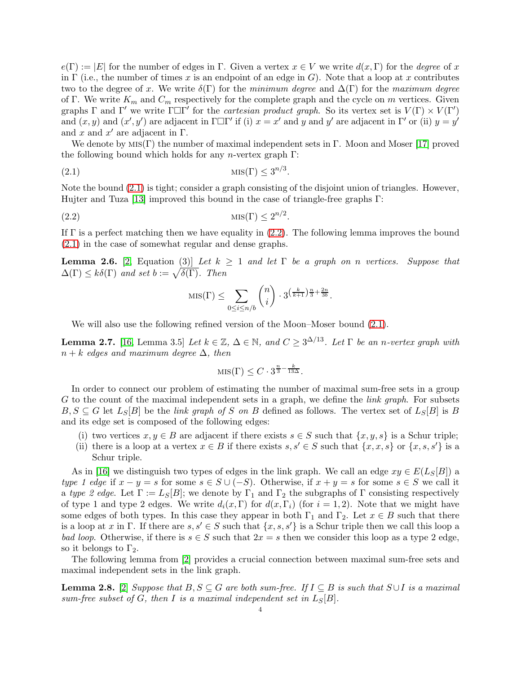$e(\Gamma) := |E|$  for the number of edges in  $\Gamma$ . Given a vertex  $x \in V$  we write  $d(x, \Gamma)$  for the *degree* of x in  $\Gamma$  (i.e., the number of times x is an endpoint of an edge in G). Note that a loop at x contributes two to the degree of x. We write  $\delta(\Gamma)$  for the *minimum degree* and  $\Delta(\Gamma)$  for the *maximum degree* of Γ. We write  $K_m$  and  $C_m$  respectively for the complete graph and the cycle on m vertices. Given graphs  $\Gamma$  and  $\Gamma'$  we write  $\Gamma \Box \Gamma'$  for the *cartesian product graph*. So its vertex set is  $V(\Gamma) \times V(\Gamma')$ and  $(x, y)$  and  $(x', y')$  are adjacent in  $\Gamma \Box \Gamma'$  if (i)  $x = x'$  and y and y' are adjacent in  $\Gamma'$  or (ii)  $y = y'$ and x and  $x'$  are adjacent in  $\Gamma$ .

We denote by  $MIS(\Gamma)$  the number of maximal independent sets in Γ. Moon and Moser [\[17\]](#page-17-14) proved the following bound which holds for any *n*-vertex graph  $\Gamma$ :

(2.1) mis(Γ) <sup>≤</sup> <sup>3</sup> n/3 .

Note the bound [\(2.1\)](#page-3-0) is tight; consider a graph consisting of the disjoint union of triangles. However, Hujter and Tuza [\[13\]](#page-17-15) improved this bound in the case of triangle-free graphs Γ:

(2.2) mis(Γ) <sup>≤</sup> <sup>2</sup> n/2 .

If  $\Gamma$  is a perfect matching then we have equality in [\(2.2\)](#page-3-1). The following lemma improves the bound [\(2.1\)](#page-3-0) in the case of somewhat regular and dense graphs.

<span id="page-3-3"></span>**Lemma 2.6.** [\[2,](#page-17-12) Equation (3)] Let  $k \geq 1$  and let  $\Gamma$  be a graph on n vertices. Suppose that  $\Delta(\Gamma) \leq k\delta(\Gamma)$  and set  $b := \sqrt{\delta(\Gamma)}$ . Then

<span id="page-3-1"></span><span id="page-3-0"></span>
$$
\text{MIS}(\Gamma) \le \sum_{0 \le i \le n/b} \binom{n}{i} \cdot 3^{\left(\frac{k}{k+1}\right)\frac{n}{3} + \frac{2n}{3b}}.
$$

We will also use the following refined version of the Moon–Moser bound  $(2.1)$ .

<span id="page-3-4"></span>**Lemma 2.7.** [\[16,](#page-17-11) Lemma 3.5] *Let*  $k \in \mathbb{Z}$ ,  $\Delta \in \mathbb{N}$ , and  $C \geq 3^{\Delta/13}$ . Let  $\Gamma$  *be an n-vertex graph with* n + k *edges and maximum degree* ∆*, then*

$$
MIS(\Gamma) \le C \cdot 3^{\frac{n}{3} - \frac{k}{13\Delta}}.
$$

In order to connect our problem of estimating the number of maximal sum-free sets in a group G to the count of the maximal independent sets in a graph, we define the *link graph*. For subsets  $B, S \subseteq G$  let  $L_S[B]$  be the *link graph of* S on B defined as follows. The vertex set of  $L_S[B]$  is B and its edge set is composed of the following edges:

- (i) two vertices  $x, y \in B$  are adjacent if there exists  $s \in S$  such that  $\{x, y, s\}$  is a Schur triple;
- (ii) there is a loop at a vertex  $x \in B$  if there exists  $s, s' \in S$  such that  $\{x, x, s\}$  or  $\{x, s, s'\}$  is a Schur triple.

As in [\[16\]](#page-17-11) we distinguish two types of edges in the link graph. We call an edge  $xy \in E(L_S[B])$  a *type 1 edge* if  $x - y = s$  for some  $s \in S \cup (-S)$ . Otherwise, if  $x + y = s$  for some  $s \in S$  we call it a *type 2 edge*. Let  $\Gamma := L_S[B]$ ; we denote by  $\Gamma_1$  and  $\Gamma_2$  the subgraphs of  $\Gamma$  consisting respectively of type 1 and type 2 edges. We write  $d_i(x, \Gamma)$  for  $d(x, \Gamma_i)$  (for  $i = 1, 2$ ). Note that we might have some edges of both types. In this case they appear in both  $\Gamma_1$  and  $\Gamma_2$ . Let  $x \in B$  such that there is a loop at x in Γ. If there are  $s, s' \in S$  such that  $\{x, s, s'\}$  is a Schur triple then we call this loop a *bad loop.* Otherwise, if there is  $s \in S$  such that  $2x = s$  then we consider this loop as a type 2 edge, so it belongs to  $\Gamma_2$ .

The following lemma from [\[2\]](#page-17-12) provides a crucial connection between maximal sum-free sets and maximal independent sets in the link graph.

<span id="page-3-2"></span>**Lemma 2.8.** [\[2\]](#page-17-12) *Suppose that*  $B, S \subseteq G$  *are both sum-free.* If  $I \subseteq B$  *is such that*  $S \cup I$  *is a maximal sum-free subset of*  $G$ *, then*  $I$  *is a maximal independent set in*  $L_S[B]$ *.*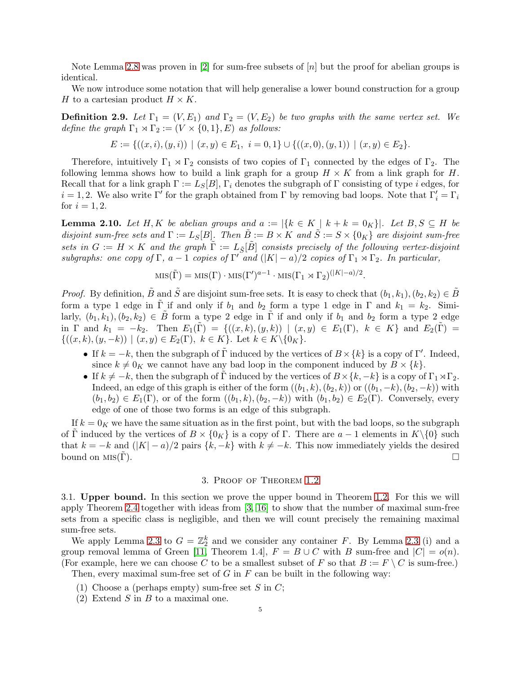Note Lemma [2.8](#page-3-2) was proven in [\[2\]](#page-17-12) for sum-free subsets of [n] but the proof for abelian groups is identical.

We now introduce some notation that will help generalise a lower bound construction for a group H to a cartesian product  $H \times K$ .

**Definition 2.9.** Let  $\Gamma_1 = (V, E_1)$  and  $\Gamma_2 = (V, E_2)$  be two graphs with the same vertex set. We *define the graph*  $\Gamma_1 \rtimes \Gamma_2 := (V \times \{0, 1\}, E)$  *as follows:* 

$$
E := \{ ((x, i), (y, i)) \mid (x, y) \in E_1, i = 0, 1 \} \cup \{ ((x, 0), (y, 1)) \mid (x, y) \in E_2 \}.
$$

Therefore, intuitively  $\Gamma_1 \rtimes \Gamma_2$  consists of two copies of  $\Gamma_1$  connected by the edges of  $\Gamma_2$ . The following lemma shows how to build a link graph for a group  $H \times K$  from a link graph for H. Recall that for a link graph  $\Gamma := L_S[B], \Gamma_i$  denotes the subgraph of  $\Gamma$  consisting of type i edges, for  $i = 1, 2$ . We also write Γ' for the graph obtained from Γ by removing bad loops. Note that  $\Gamma'_i = \Gamma_i$ for  $i = 1, 2$ .

<span id="page-4-1"></span>**Lemma 2.10.** Let H, K be abelian groups and  $a := |\{k \in K \mid k+k=0_K\}|$ . Let  $B, S \subseteq H$  be *disjoint sum-free sets and*  $\Gamma := L_S[B]$ *. Then*  $\ddot{B} := B \times K$  *and*  $\ddot{S} := S \times \{0_K\}$  *are disjoint sum-free sets in*  $G := H \times K$  *and the graph*  $\tilde{\Gamma} := L_{\tilde{S}}[\tilde{B}]$  *consists precisely of the following vertex-disjoint subgraphs:* one copy of  $\Gamma$ ,  $a - 1$  *copies of*  $\Gamma'$  *and*  $(|K| - a)/2$  *copies of*  $\Gamma_1 \rtimes \Gamma_2$ *. In particular,* 

$$
MIS(\tilde{\Gamma}) = MIS(\Gamma) \cdot MIS(\Gamma')^{a-1} \cdot MIS(\Gamma_1 \rtimes \Gamma_2)^{(|K|-a)/2}.
$$

*Proof.* By definition,  $\tilde{B}$  and  $\tilde{S}$  are disjoint sum-free sets. It is easy to check that  $(b_1, k_1), (b_2, k_2) \in \tilde{B}$ form a type 1 edge in  $\tilde{\Gamma}$  if and only if  $b_1$  and  $b_2$  form a type 1 edge in  $\Gamma$  and  $k_1 = k_2$ . Similarly,  $(b_1, k_1), (b_2, k_2) \in \tilde{B}$  form a type 2 edge in  $\tilde{\Gamma}$  if and only if  $b_1$  and  $b_2$  form a type 2 edge in  $\Gamma$  and  $k_1 = -k_2$ . Then  $E_1(\Gamma) = \{((x, k), (y, k)) | (x, y) \in E_1(\Gamma), k \in K\}$  and  $E_2(\Gamma) =$  $\{((x, k), (y, -k)) \mid (x, y) \in E_2(\Gamma), \ k \in K\}.$  Let  $k \in K\backslash \{0_K\}.$ 

- If  $k = -k$ , then the subgraph of  $\tilde{\Gamma}$  induced by the vertices of  $B \times \{k\}$  is a copy of  $\Gamma'$ . Indeed, since  $k \neq 0<sub>K</sub>$  we cannot have any bad loop in the component induced by  $B \times \{k\}$ .
- If  $k \neq -k$ , then the subgraph of  $\tilde{\Gamma}$  induced by the vertices of  $B \times \{k, -k\}$  is a copy of  $\Gamma_1 \rtimes \Gamma_2$ . Indeed, an edge of this graph is either of the form  $((b_1, k), (b_2, k))$  or  $((b_1, -k), (b_2, -k))$  with  $(b_1, b_2) \in E_1(\Gamma)$ , or of the form  $((b_1, k), (b_2, -k))$  with  $(b_1, b_2) \in E_2(\Gamma)$ . Conversely, every edge of one of those two forms is an edge of this subgraph.

If  $k = 0<sub>K</sub>$  we have the same situation as in the first point, but with the bad loops, so the subgraph of  $\tilde{\Gamma}$  induced by the vertices of  $B \times \{0_K\}$  is a copy of  $\Gamma$ . There are  $a-1$  elements in  $K \setminus \{0\}$  such that  $k = -k$  and  $(|K| - a)/2$  pairs  $\{k, -k\}$  with  $k \neq -k$ . This now immediately yields the desired bound on MIS( $\tilde{\Gamma}$ ). bound on  $MIS(\Gamma)$ .

### 3. Proof of Theorem [1.2](#page-1-0)

<span id="page-4-0"></span>3.1. Upper bound. In this section we prove the upper bound in Theorem [1.2.](#page-1-0) For this we will apply Theorem [2.4](#page-2-1) together with ideas from [\[3,](#page-17-4) [16\]](#page-17-11) to show that the number of maximal sum-free sets from a specific class is negligible, and then we will count precisely the remaining maximal sum-free sets.

We apply Lemma [2.3](#page-2-3) to  $G = \mathbb{Z}_2^k$  and we consider any container F. By Lemma 2.3 (i) and a group removal lemma of Green [\[11,](#page-17-16) Theorem 1.4],  $F = B \cup C$  with B sum-free and  $|C| = o(n)$ . (For example, here we can choose C to be a smallest subset of F so that  $B := F \setminus C$  is sum-free.)

Then, every maximal sum-free set of  $G$  in  $F$  can be built in the following way:

- (1) Choose a (perhaps empty) sum-free set  $S$  in  $C$ ;
- (2) Extend  $S$  in  $B$  to a maximal one.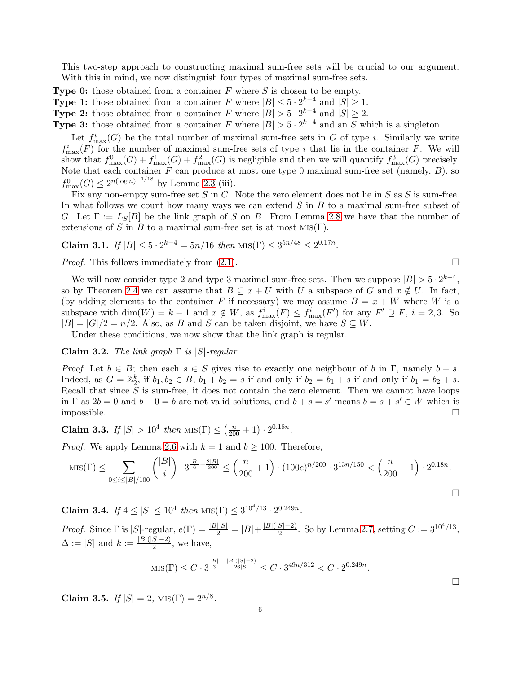This two-step approach to constructing maximal sum-free sets will be crucial to our argument. With this in mind, we now distinguish four types of maximal sum-free sets.

**Type 0:** those obtained from a container  $F$  where  $S$  is chosen to be empty.

**Type 1:** those obtained from a container F where  $|B| \leq 5 \cdot 2^{k-4}$  and  $|S| \geq 1$ .

**Type 2:** those obtained from a container F where  $|B| > 5 \cdot 2^{k-4}$  and  $|S| \ge 2$ .

**Type 3:** those obtained from a container F where  $|B| > 5 \cdot 2^{k-4}$  and an S which is a singleton.

Let  $f_{\max}^i(G)$  be the total number of maximal sum-free sets in G of type *i*. Similarly we write  $f_{\text{max}}^i(F)$  for the number of maximal sum-free sets of type i that lie in the container F. We will show that  $f_{\max}^0(G) + f_{\max}^1(G) + f_{\max}^2(G)$  is negligible and then we will quantify  $f_{\max}^3(G)$  precisely. Note that each container  $F$  can produce at most one type 0 maximal sum-free set (namely,  $B$ ), so  $f_{\max}^0(G) \leq 2^{n(\log n)^{-1/18}}$  by Lemma [2.3](#page-2-3) (iii).

Fix any non-empty sum-free set S in C. Note the zero element does not lie in S as S is sum-free. In what follows we count how many ways we can extend  $S$  in  $B$  to a maximal sum-free subset of G. Let  $\Gamma := L_S[B]$  be the link graph of S on B. From Lemma [2.8](#page-3-2) we have that the number of extensions of S in B to a maximal sum-free set is at most  $MIS(\Gamma)$ .

<span id="page-5-1"></span>Claim 3.1. *If*  $|B| \le 5 \cdot 2^{k-4} = 5n/16$  *then*  $\text{MIS}(\Gamma) \le 3^{5n/48} \le 2^{0.17n}$ .

*Proof.* This follows immediately from  $(2.1)$ .

We will now consider type 2 and type 3 maximal sum-free sets. Then we suppose  $|B| > 5 \cdot 2^{k-4}$ , so by Theorem [2.4](#page-2-1) we can assume that  $B \subseteq x + U$  with U a subspace of G and  $x \notin U$ . In fact, (by adding elements to the container F if necessary) we may assume  $B = x + W$  where W is a subspace with  $\dim(W) = k - 1$  and  $x \notin W$ , as  $f_{\max}^i(F) \leq f_{\max}^i(F')$  for any  $F' \supseteq F$ ,  $i = 2, 3$ . So  $|B| = |G|/2 = n/2$ . Also, as B and S can be taken disjoint, we have  $S \subseteq W$ .

Under these conditions, we now show that the link graph is regular.

<span id="page-5-2"></span>Claim 3.2. *The link graph* Γ *is* |S|*-regular.*

*Proof.* Let  $b \in B$ ; then each  $s \in S$  gives rise to exactly one neighbour of b in Γ, namely  $b + s$ . Indeed, as  $G = \mathbb{Z}_2^k$ , if  $b_1, b_2 \in B$ ,  $b_1 + b_2 = s$  if and only if  $b_2 = b_1 + s$  if and only if  $b_1 = b_2 + s$ . Recall that since  $S$  is sum-free, it does not contain the zero element. Then we cannot have loops in  $\Gamma$  as  $2b = 0$  and  $b + 0 = b$  are not valid solutions, and  $b + s = s'$  means  $b = s + s' \in W$  which is impossible.

<span id="page-5-0"></span>**Claim 3.3.** *If*  $|S| > 10^4$  *then*  $\text{MIS}(\Gamma) \leq \left(\frac{n}{200} + 1\right) \cdot 2^{0.18n}$ *.* 

*Proof.* We apply Lemma [2.6](#page-3-3) with  $k = 1$  and  $b \ge 100$ . Therefore,

$$
\text{MIS}(\Gamma) \le \sum_{0 \le i \le |B|/100} \binom{|B|}{i} \cdot 3^{\frac{|B|}{6} + \frac{2|B|}{300}} \le \left(\frac{n}{200} + 1\right) \cdot (100e)^{n/200} \cdot 3^{13n/150} < \left(\frac{n}{200} + 1\right) \cdot 2^{0.18n}.
$$

**Claim 3.4.** *If*  $4 \leq |S| \leq 10^4$  *then*  $\text{MIS}(\Gamma) \leq 3^{10^4/13} \cdot 2^{0.249n}$ *.* 

*Proof.* Since  $\Gamma$  is  $|S|$ -regular,  $e(\Gamma) = \frac{|B||S|}{2} = |B| + \frac{|B|(|S|-2)}{2}$ . So by Lemma [2.7,](#page-3-4) setting  $C := 3^{10^4/13}$ ,  $\Delta := |S|$  and  $k := \frac{|B|(|S|-2)}{2}$ , we have,

$$
\text{MIS}(\Gamma) \le C \cdot 3^{\frac{|B|}{3} - \frac{|B|(|S| - 2)}{26|S|}} \le C \cdot 3^{49n/312} < C \cdot 2^{0.249n}.
$$

<span id="page-5-3"></span>Claim 3.5.  $If |S| = 2$ ,  $MIS(\Gamma) = 2^{n/8}$ .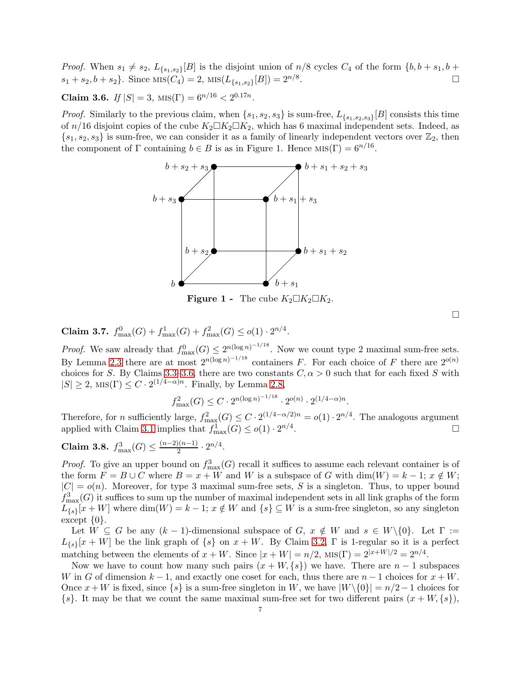*Proof.* When  $s_1 \neq s_2$ ,  $L_{\{s_1,s_2\}}[B]$  is the disjoint union of  $n/8$  cycles  $C_4$  of the form  $\{b, b + s_1, b + s_2, b + s_3, b + s_4, b + s_5, b + s_6, b + s_7, b + s_8, b + s_9, b + s_1, b + s_2, b + s_4, b + s_6, b + s_7, b + s_7, b + s_8, b + s_9, b + s_1, b + s_2, b$  $s_1 + s_2, b + s_2$ . Since  $\text{MIS}(C_4) = 2$ ,  $\text{MIS}(L_{\{s_1, s_2\}}[B]) = 2^{n/8}$ .

<span id="page-6-0"></span>Claim 3.6.  $If |S| = 3$ ,  $MIS(\Gamma) = 6^{n/16} < 2^{0.17n}$ .

*Proof.* Similarly to the previous claim, when  $\{s_1, s_2, s_3\}$  is sum-free,  $L_{\{s_1, s_2, s_3\}}[B]$  consists this time of  $n/16$  disjoint copies of the cube  $K_2 \square K_2 \square K_2$ , which has 6 maximal independent sets. Indeed, as  $\{s_1, s_2, s_3\}$  is sum-free, we can consider it as a family of linearly independent vectors over  $\mathbb{Z}_2$ , then the component of  $\Gamma$  containing  $b \in B$  is as in Figure 1. Hence  $MIS(\Gamma) = 6^{n/16}$ .



Figure 1 - The cube  $K_2 \square K_2 \square K_2$ .

<span id="page-6-1"></span>Claim 3.7.  $f_{\max}^0(G) + f_{\max}^1(G) + f_{\max}^2(G) \leq o(1) \cdot 2^{n/4}$ .

*Proof.* We saw already that  $f_{\text{max}}^0(G) \leq 2^{n(\log n)^{-1/18}}$ . Now we count type 2 maximal sum-free sets. By Lemma [2.3](#page-2-3) there are at most  $2^{n(\log n)^{-1/18}}$  containers F. For each choice of F there are  $2^{o(n)}$ choices for S. By Claims [3.3](#page-5-0)[–3.6,](#page-6-0) there are two constants  $C, \alpha > 0$  such that for each fixed S with  $|S| \geq 2$ , MIS( $\Gamma$ )  $\leq C \cdot 2^{(1/4 - \alpha)n}$ . Finally, by Lemma [2.8,](#page-3-2)

$$
f_{\max}^2(G) \le C \cdot 2^{n(\log n)^{-1/18}} \cdot 2^{o(n)} \cdot 2^{(1/4-\alpha)n}.
$$

Therefore, for n sufficiently large,  $f_{\text{max}}^2(G) \leq C \cdot 2^{(1/4 - \alpha/2)n} = o(1) \cdot 2^{n/4}$ . The analogous argument applied with Claim [3.1](#page-5-1) implies that  $f_{\text{max}}^1(G) \leq o(1) \cdot 2^{n/4}$ .

<span id="page-6-2"></span>Claim 3.8.  $f_{\text{max}}^3(G) \leq \frac{(n-2)(n-1)}{2} \cdot 2^{n/4}$ .

*Proof.* To give an upper bound on  $f_{\text{max}}^3(G)$  recall it suffices to assume each relevant container is of the form  $F = B \cup C$  where  $B = x + W$  and W is a subspace of G with  $\dim(W) = k - 1$ ;  $x \notin W$ ;  $|C| = o(n)$ . Moreover, for type 3 maximal sum-free sets, S is a singleton. Thus, to upper bound  $f_{\text{max}}^3(G)$  it suffices to sum up the number of maximal independent sets in all link graphs of the form  $L_{\{s\}}[x+W]$  where  $\dim(W) = k-1$ ;  $x \notin W$  and  $\{s\} \subseteq W$  is a sum-free singleton, so any singleton except  $\{0\}.$ 

Let  $W \subseteq G$  be any  $(k-1)$ -dimensional subspace of  $G, x \notin W$  and  $s \in W \setminus \{0\}$ . Let  $\Gamma :=$  $L_{\{s\}}[x+W]$  be the link graph of  $\{s\}$  on  $x+W$ . By Claim [3.2,](#page-5-2)  $\Gamma$  is 1-regular so it is a perfect matching between the elements of  $x + W$ . Since  $|x + W| = n/2$ , MIS(Γ) =  $2^{|x + W|/2} = 2^{n/4}$ .

Now we have to count how many such pairs  $(x + W, \{s\})$  we have. There are  $n - 1$  subspaces W in G of dimension  $k-1$ , and exactly one coset for each, thus there are  $n-1$  choices for  $x+W$ . Once  $x+W$  is fixed, since  $\{s\}$  is a sum-free singleton in W, we have  $|W\setminus\{0\}| = n/2-1$  choices for  $\{s\}$ . It may be that we count the same maximal sum-free set for two different pairs  $(x + W, \{s\})$ ,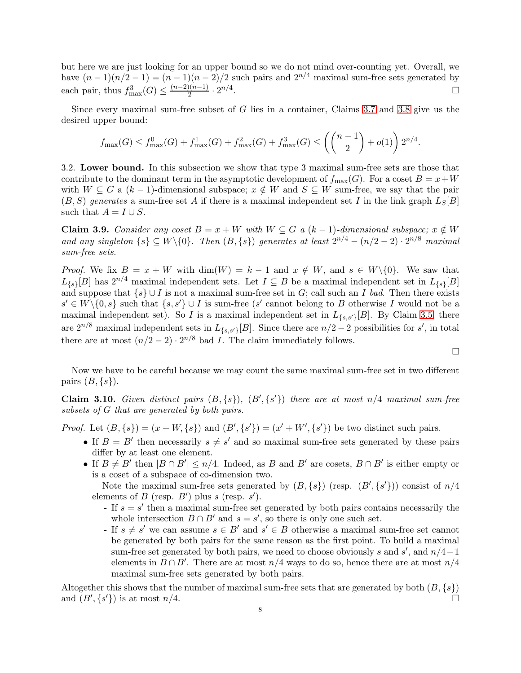but here we are just looking for an upper bound so we do not mind over-counting yet. Overall, we have  $(n-1)(n/2-1) = (n-1)(n-2)/2$  such pairs and  $2^{n/4}$  maximal sum-free sets generated by each pair, thus  $f_{\max}^3(G) \le \frac{(n-2)(n-1)}{2} \cdot 2^{n/4}$ .

Since every maximal sum-free subset of G lies in a container, Claims [3.7](#page-6-1) and [3.8](#page-6-2) give us the desired upper bound:

$$
f_{\max}(G) \le f_{\max}^0(G) + f_{\max}^1(G) + f_{\max}^2(G) + f_{\max}^3(G) \le \left( {n-1 \choose 2} + o(1) \right) 2^{n/4}.
$$

<span id="page-7-0"></span>3.2. Lower bound. In this subsection we show that type 3 maximal sum-free sets are those that contribute to the dominant term in the asymptotic development of  $f_{\text{max}}(G)$ . For a coset  $B = x + W$ with  $W \subseteq G$  a  $(k-1)$ -dimensional subspace;  $x \notin W$  and  $S \subseteq W$  sum-free, we say that the pair  $(B, S)$  generates a sum-free set A if there is a maximal independent set I in the link graph  $L_S[B]$ such that  $A = I \cup S$ .

**Claim 3.9.** Consider any coset  $B = x + W$  with  $W \subseteq G$  a  $(k-1)$ -dimensional subspace;  $x \notin W$ and any singleton  $\{s\} \subseteq W \setminus \{0\}$ . Then  $(B, \{s\})$  generates at least  $2^{n/4} - (n/2 - 2) \cdot 2^{n/8}$  maximal *sum-free sets.*

*Proof.* We fix  $B = x + W$  with  $\dim(W) = k - 1$  and  $x \notin W$ , and  $s \in W \setminus \{0\}$ . We saw that  $L_{\{s\}}[B]$  has  $2^{n/4}$  maximal independent sets. Let  $I \subseteq B$  be a maximal independent set in  $L_{\{s\}}[B]$ and suppose that  $\{s\} \cup I$  is not a maximal sum-free set in G; call such an I *bad*. Then there exists  $s' \in W \setminus \{0, s\}$  such that  $\{s, s'\} \cup I$  is sum-free  $(s'$  cannot belong to B otherwise I would not be a maximal independent set). So I is a maximal independent set in  $L_{\{s,s'\}}[B]$ . By Claim [3.5,](#page-5-3) there are  $2^{n/8}$  maximal independent sets in  $L_{\{s,s'\}}[B]$ . Since there are  $n/2-2$  possibilities for s', in total there are at most  $(n/2-2) \cdot 2^{n/8}$  bad *I*. The claim immediately follows.

Now we have to be careful because we may count the same maximal sum-free set in two different pairs  $(B, \{s\})$ .

<span id="page-7-1"></span>**Claim 3.10.** *Given distinct pairs*  $(B, \{s\})$ ,  $(B', \{s'\})$  *there are at most*  $n/4$  *maximal sum-free subsets of* G *that are generated by both pairs.*

*Proof.* Let  $(B, \{s\}) = (x + W, \{s\})$  and  $(B', \{s'\}) = (x' + W', \{s'\})$  be two distinct such pairs.

- If  $B = B'$  then necessarily  $s \neq s'$  and so maximal sum-free sets generated by these pairs differ by at least one element.
- If  $B \neq B'$  then  $|B \cap B'| \leq n/4$ . Indeed, as B and B' are cosets,  $B \cap B'$  is either empty or is a coset of a subspace of co-dimension two.

Note the maximal sum-free sets generated by  $(B, \{s\})$  (resp.  $(B', \{s'\})$ ) consist of  $n/4$ elements of  $B$  (resp.  $B'$ ) plus  $s$  (resp.  $s'$ ).

- If  $s = s'$  then a maximal sum-free set generated by both pairs contains necessarily the whole intersection  $B \cap B'$  and  $s = s'$ , so there is only one such set.
- If  $s \neq s'$  we can assume  $s \in B'$  and  $s' \in B$  otherwise a maximal sum-free set cannot be generated by both pairs for the same reason as the first point. To build a maximal sum-free set generated by both pairs, we need to choose obviously s and s', and  $n/4-1$ elements in  $B \cap B'$ . There are at most  $n/4$  ways to do so, hence there are at most  $n/4$ maximal sum-free sets generated by both pairs.

Altogether this shows that the number of maximal sum-free sets that are generated by both  $(B, \{s\})$  and  $(B', \{s'\})$  is at most  $n/4$ . and  $(B', \{s'\})$  is at most  $n/4$ .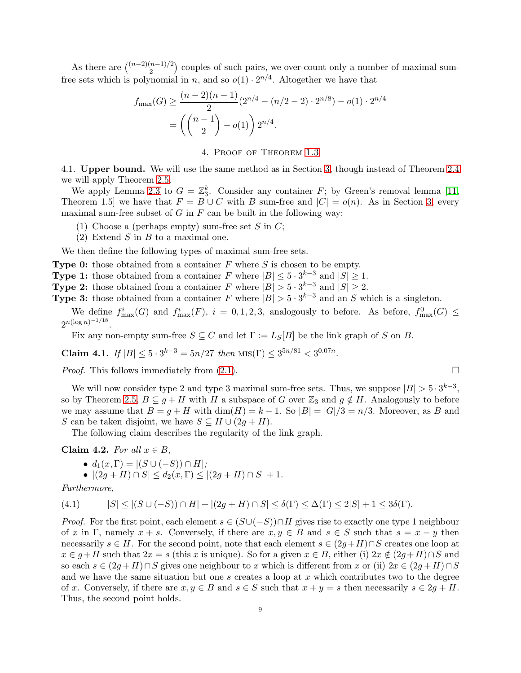As there are  $\binom{(n-2)(n-1)/2}{2}$  couples of such pairs, we over-count only a number of maximal sumfree sets which is polynomial in *n*, and so  $o(1) \cdot 2^{n/4}$ . Altogether we have that

$$
f_{\max}(G) \ge \frac{(n-2)(n-1)}{2} (2^{n/4} - (n/2 - 2) \cdot 2^{n/8}) - o(1) \cdot 2^{n/4}
$$

$$
= \left( \binom{n-1}{2} - o(1) \right) 2^{n/4}.
$$

4. Proof of Theorem [1.3](#page-1-2)

<span id="page-8-0"></span>4.1. Upper bound. We will use the same method as in Section [3,](#page-4-0) though instead of Theorem [2.4](#page-2-1) we will apply Theorem [2.5.](#page-2-2)

We apply Lemma [2.3](#page-2-3) to  $G = \mathbb{Z}_3^k$ . Consider any container F; by Green's removal lemma [\[11,](#page-17-16) Theorem 1.5] we have that  $F = B \cup C$  with B sum-free and  $|C| = o(n)$ . As in Section [3,](#page-4-0) every maximal sum-free subset of  $G$  in  $F$  can be built in the following way:

- (1) Choose a (perhaps empty) sum-free set S in  $C$ ;
- (2) Extend  $S$  in  $B$  to a maximal one.

We then define the following types of maximal sum-free sets.

**Type 0:** those obtained from a container  $F$  where  $S$  is chosen to be empty.

**Type 1:** those obtained from a container F where  $|B| \leq 5 \cdot 3^{k-3}$  and  $|S| \geq 1$ .

**Type 2:** those obtained from a container F where  $|B| > 5 \cdot 3^{k-3}$  and  $|S| \ge 2$ .

**Type 3:** those obtained from a container F where  $|B| > 5 \cdot 3^{k-3}$  and an S which is a singleton.

We define  $f_{\max}^i(G)$  and  $f_{\max}^i(F)$ ,  $i = 0, 1, 2, 3$ , analogously to before. As before,  $f_{\max}^0(G) \le$  $2^{n(\log n)^{-1/18}}$ .

Fix any non-empty sum-free  $S \subseteq C$  and let  $\Gamma := L_S[B]$  be the link graph of S on B.

<span id="page-8-3"></span>Claim 4.1. *If*  $|B| \le 5 \cdot 3^{k-3} = 5n/27$  *then*  $\text{MIS}(\Gamma) \le 3^{5n/81} < 3^{0.07n}$ .

*Proof.* This follows immediately from  $(2.1)$ .

We will now consider type 2 and type 3 maximal sum-free sets. Thus, we suppose  $|B| > 5 \cdot 3^{k-3}$ , so by Theorem [2.5,](#page-2-2)  $B \subseteq g + H$  with H a subspace of G over  $\mathbb{Z}_3$  and  $g \notin H$ . Analogously to before we may assume that  $B = g + H$  with  $\dim(H) = k - 1$ . So  $|B| = |G|/3 = n/3$ . Moreover, as B and S can be taken disjoint, we have  $S \subseteq H \cup (2g + H)$ .

The following claim describes the regularity of the link graph.

<span id="page-8-2"></span>Claim 4.2. *For all*  $x \in B$ ,

$$
\bullet \, d_1(x,\Gamma) = |(S \cup (-S)) \cap H|;
$$

<span id="page-8-1"></span>• 
$$
|(2g+H) \cap S| \leq d_2(x,\Gamma) \leq |(2g+H) \cap S| + 1.
$$

*Furthermore,*

$$
(4.1) \qquad |S| \leq |(S \cup (-S)) \cap H| + |(2g + H) \cap S| \leq \delta(\Gamma) \leq \Delta(\Gamma) \leq 2|S| + 1 \leq 3\delta(\Gamma).
$$

*Proof.* For the first point, each element  $s \in (S \cup (-S)) \cap H$  gives rise to exactly one type 1 neighbour of x in Γ, namely  $x + s$ . Conversely, if there are  $x, y \in B$  and  $s \in S$  such that  $s = x - y$  then necessarily  $s \in H$ . For the second point, note that each element  $s \in (2g+H) \cap S$  creates one loop at  $x \in g + H$  such that  $2x = s$  (this x is unique). So for a given  $x \in B$ , either (i)  $2x \notin (2g+H) \cap S$  and so each  $s \in (2g + H) \cap S$  gives one neighbour to x which is different from x or (ii)  $2x \in (2g + H) \cap S$ and we have the same situation but one s creates a loop at  $x$  which contributes two to the degree of x. Conversely, if there are  $x, y \in B$  and  $s \in S$  such that  $x + y = s$  then necessarily  $s \in 2g + H$ . Thus, the second point holds.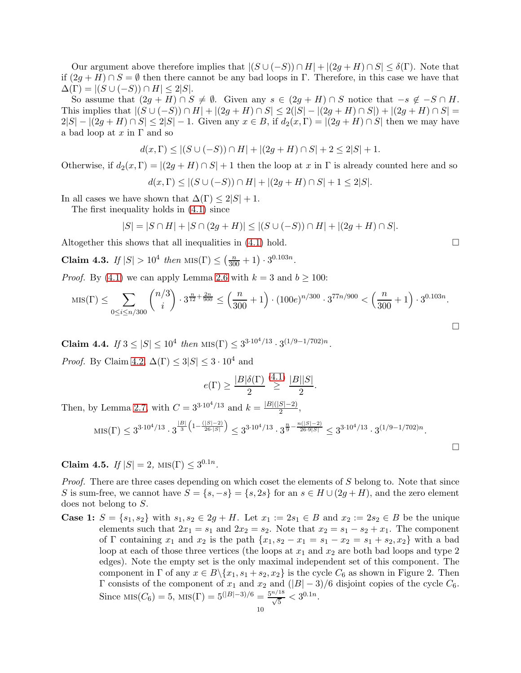Our argument above therefore implies that  $|(S \cup (-S)) \cap H| + |(2g + H) \cap S| \leq \delta(\Gamma)$ . Note that if  $(2g + H) \cap S = \emptyset$  then there cannot be any bad loops in Γ. Therefore, in this case we have that  $\Delta(\Gamma) = |(S \cup (-S)) \cap H| \leq 2|S|.$ 

So assume that  $(2g + H) \cap S \neq \emptyset$ . Given any  $s \in (2g + H) \cap S$  notice that  $-s \notin -S \cap H$ . This implies that  $|(S \cup (-S)) \cap H| + |(2g + H) \cap S| \leq 2(|S| - |(2g + H) \cap S|) + |(2g + H) \cap S| =$  $2|S| - |(2g + H) \cap S| \le 2|S| - 1$ . Given any  $x \in B$ , if  $d_2(x, \Gamma) = |(2g + H) \cap S|$  then we may have a bad loop at  $x$  in  $\Gamma$  and so

$$
d(x,\Gamma) \leq |(S \cup (-S)) \cap H| + |(2g+H) \cap S| + 2 \leq 2|S| + 1.
$$

Otherwise, if  $d_2(x,\Gamma) = |(2g+H) \cap S| + 1$  then the loop at x in  $\Gamma$  is already counted here and so

$$
d(x,\Gamma)\leq |(S\cup (-S))\cap H|+|(2g+H)\cap S|+1\leq 2|S|.
$$

In all cases we have shown that  $\Delta(\Gamma) \leq 2|S| + 1$ .

The first inequality holds in [\(4.1\)](#page-8-1) since

$$
|S| = |S \cap H| + |S \cap (2g + H)| \le |(S \cup (-S)) \cap H| + |(2g + H) \cap S|.
$$

Altogether this shows that all inequalities in  $(4.1)$  hold.  $\Box$ 

<span id="page-9-0"></span>**Claim 4.3.** *If*  $|S| > 10^4$  *then*  $\text{MIS}(\Gamma) \leq \left(\frac{n}{300} + 1\right) \cdot 3^{0.103n}$ .

*Proof.* By [\(4.1\)](#page-8-1) we can apply Lemma [2.6](#page-3-3) with  $k = 3$  and  $b \ge 100$ :

$$
\text{MIS}(\Gamma) \le \sum_{0 \le i \le n/300} \binom{n/3}{i} \cdot 3^{\frac{n}{12} + \frac{2n}{900}} \le \left(\frac{n}{300} + 1\right) \cdot (100e)^{n/300} \cdot 3^{77n/900} < \left(\frac{n}{300} + 1\right) \cdot 3^{0.103n}.
$$

<span id="page-9-1"></span>**Claim 4.4.** *If*  $3 \le |S| \le 10^4$  *then*  $\text{MIS}(\Gamma) \le 3^{3 \cdot 10^4/13} \cdot 3^{(1/9 - 1/702)n}$ .

*Proof.* By Claim [4.2,](#page-8-2)  $\Delta(\Gamma) \leq 3|S| \leq 3 \cdot 10^4$  and

$$
e(\Gamma) \ge \frac{|B|\delta(\Gamma)}{2} \stackrel{(4.1)}{\ge} \frac{|B||S|}{2}.
$$

Then, by Lemma [2.7,](#page-3-4) with  $C = 3^{3 \cdot 10^4/13}$  and  $k = \frac{|B|(|S|-2)}{2}$ ,

$$
\text{MIS}(\Gamma) \le 3^{3 \cdot 10^4/13} \cdot 3^{\frac{|B|}{3} \left(1 - \frac{(|S| - 2)}{26 \cdot |S|}\right)} \le 3^{3 \cdot 10^4/13} \cdot 3^{\frac{n}{9} - \frac{n(|S| - 2)}{26 \cdot 9 |S|}} \le 3^{3 \cdot 10^4/13} \cdot 3^{(1/9 - 1/702)n}.
$$

<span id="page-9-2"></span>Claim 4.5.  $If |S| = 2$ ,  $MIS(\Gamma) \leq 3^{0.1n}$ .

*Proof.* There are three cases depending on which coset the elements of S belong to. Note that since S is sum-free, we cannot have  $S = \{s, -s\} = \{s, 2s\}$  for an  $s \in H \cup (2g + H)$ , and the zero element does not belong to S.

**Case 1:**  $S = \{s_1, s_2\}$  with  $s_1, s_2 \in 2g + H$ . Let  $x_1 := 2s_1 \in B$  and  $x_2 := 2s_2 \in B$  be the unique elements such that  $2x_1 = s_1$  and  $2x_2 = s_2$ . Note that  $x_2 = s_1 - s_2 + x_1$ . The component of Γ containing  $x_1$  and  $x_2$  is the path  $\{x_1, s_2 - x_1 = s_1 - x_2 = s_1 + s_2, x_2\}$  with a bad loop at each of those three vertices (the loops at  $x_1$  and  $x_2$  are both bad loops and type 2 edges). Note the empty set is the only maximal independent set of this component. The component in  $\Gamma$  of any  $x \in B \setminus \{x_1, s_1 + s_2, x_2\}$  is the cycle  $C_6$  as shown in Figure 2. Then Γ consists of the component of  $x_1$  and  $x_2$  and  $(|B|-3)/6$  disjoint copies of the cycle  $C_6$ . Since  $MIS(C_6) = 5$ ,  $MIS(\Gamma) = 5^{(|B|-3)/6} = \frac{5^{n/18}}{\sqrt{5}} < 3^{0.1n}$ .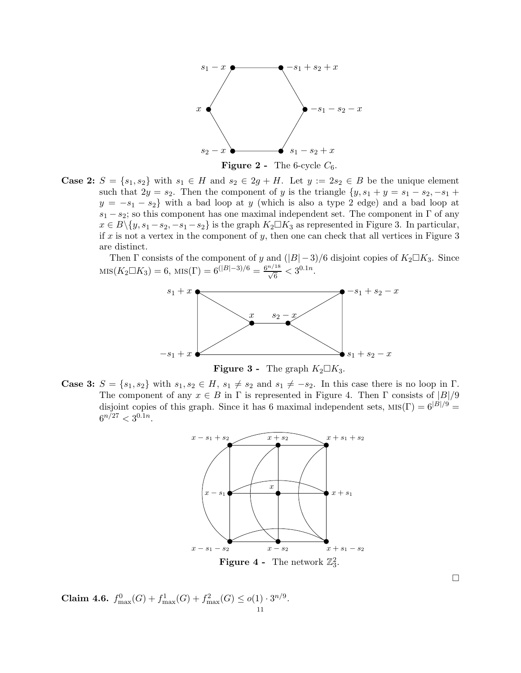

**Figure 2** - The 6-cycle  $C_6$ .

Case 2:  $S = \{s_1, s_2\}$  with  $s_1 \in H$  and  $s_2 \in 2g + H$ . Let  $y := 2s_2 \in B$  be the unique element such that  $2y = s_2$ . Then the component of y is the triangle  $\{y, s_1 + y = s_1 - s_2, -s_1 +$  $y = -s_1 - s_2$  with a bad loop at y (which is also a type 2 edge) and a bad loop at  $s_1 - s_2$ ; so this component has one maximal independent set. The component in  $\Gamma$  of any  $x \in B\backslash \{y, s_1 - s_2, -s_1 - s_2\}$  is the graph  $K_2 \square K_3$  as represented in Figure 3. In particular, if x is not a vertex in the component of y, then one can check that all vertices in Figure  $3$ are distinct.

Then  $\Gamma$  consists of the component of y and  $(|B|-3)/6$  disjoint copies of  $K_2 \Box K_3$ . Since  $\text{MIS}(K_2 \square K_3) = 6, \text{ MIS}(\Gamma) = 6^{(|B|-3)/6} = \frac{6^{n/18}}{\sqrt{6}} < 3^{0.1n}.$ 



**Figure 3** - The graph  $K_2 \square K_3$ .

**Case 3:**  $S = \{s_1, s_2\}$  with  $s_1, s_2 \in H$ ,  $s_1 \neq s_2$  and  $s_1 \neq -s_2$ . In this case there is no loop in Γ. The component of any  $x \in B$  in  $\Gamma$  is represented in Figure 4. Then  $\Gamma$  consists of  $|B|/9$ disjoint copies of this graph. Since it has 6 maximal independent sets,  $MIS(\Gamma) = 6^{|B|/9}$  $6^{n/27} < 3^{0.1n}$ .



<span id="page-10-0"></span>Claim 4.6.  $f_{\max}^0(G) + f_{\max}^1(G) + f_{\max}^2(G) \leq o(1) \cdot 3^{n/9}$ .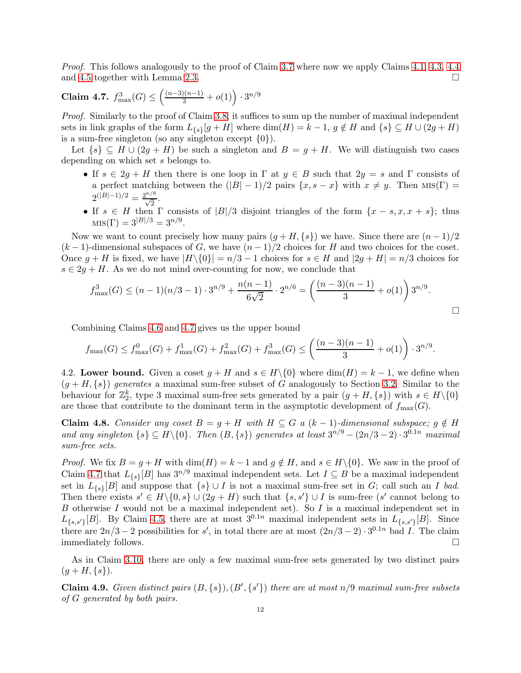*Proof.* This follows analogously to the proof of Claim [3.7](#page-6-1) where now we apply Claims [4.1,](#page-8-3) [4.3,](#page-9-0) [4.4](#page-9-1) and [4.5](#page-9-2) together with Lemma [2.3.](#page-2-3)  $\Box$ 

<span id="page-11-0"></span>**Claim 4.7.** 
$$
f_{\text{max}}^3(G) \le \left(\frac{(n-3)(n-1)}{3} + o(1)\right) \cdot 3^{n/9}
$$

*Proof.* Similarly to the proof of Claim [3.8,](#page-6-2) it suffices to sum up the number of maximal independent sets in link graphs of the form  $L_{\{s\}}[g+H]$  where  $\dim(H) = k - 1$ ,  $g \notin H$  and  $\{s\} \subseteq H \cup (2g+H)$ is a sum-free singleton (so any singleton except  $\{0\}$ ).

Let  $\{s\} \subseteq H \cup (2g + H)$  be such a singleton and  $B = g + H$ . We will distinguish two cases depending on which set s belongs to.

- If  $s \in 2g + H$  then there is one loop in  $\Gamma$  at  $y \in B$  such that  $2y = s$  and  $\Gamma$  consists of a perfect matching between the  $(|B| - 1)/2$  pairs  $\{x, s - x\}$  with  $x \neq y$ . Then MIS(Γ) =  $2^{(|B|-1)/2} = \frac{2^{n/6}}{\sqrt{2}}.$
- If  $s \in H$  then  $\Gamma$  consists of  $|B|/3$  disjoint triangles of the form  $\{x s, x, x + s\}$ ; thus  $MIS(\Gamma) = 3^{|B|/3} = 3^{n/9}.$

Now we want to count precisely how many pairs  $(q + H, \{s\})$  we have. Since there are  $(n - 1)/2$  $(k-1)$ -dimensional subspaces of G, we have  $(n-1)/2$  choices for H and two choices for the coset. Once  $g + H$  is fixed, we have  $|H \setminus \{0\}| = n/3 - 1$  choices for  $s \in H$  and  $|2g + H| = n/3$  choices for  $s \in 2g + H$ . As we do not mind over-counting for now, we conclude that

$$
f_{\max}^3(G) \le (n-1)(n/3 - 1) \cdot 3^{n/9} + \frac{n(n-1)}{6\sqrt{2}} \cdot 2^{n/6} = \left(\frac{(n-3)(n-1)}{3} + o(1)\right) 3^{n/9}.
$$

Combining Claims [4.6](#page-10-0) and [4.7](#page-11-0) gives us the upper bound

$$
f_{\max}(G) \le f_{\max}^0(G) + f_{\max}^1(G) + f_{\max}^2(G) + f_{\max}^3(G) \le \left(\frac{(n-3)(n-1)}{3} + o(1)\right) \cdot 3^{n/9}.
$$

4.2. Lower bound. Given a coset  $g + H$  and  $s \in H \setminus \{0\}$  where  $\dim(H) = k - 1$ , we define when  $(g + H, \{s\})$  generates a maximal sum-free subset of G analogously to Section [3.2.](#page-7-0) Similar to the behaviour for  $\mathbb{Z}_2^k$ , type 3 maximal sum-free sets generated by a pair  $(g + H, \{s\})$  with  $s \in H \setminus \{0\}$ are those that contribute to the dominant term in the asymptotic development of  $f_{\text{max}}(G)$ .

**Claim 4.8.** Consider any coset  $B = g + H$  with  $H ⊆ G$  *a* (k − 1)-dimensional subspace;  $g \notin H$ and any singleton  $\{s\} \subseteq H \setminus \{0\}$ . Then  $(B, \{s\})$  generates at least  $3^{n/9} - (2n/3 - 2) \cdot 3^{0.1n}$  maximal *sum-free sets.*

*Proof.* We fix  $B = g + H$  with  $\dim(H) = k - 1$  and  $g \notin H$ , and  $s \in H \setminus \{0\}$ . We saw in the proof of Claim [4.7](#page-11-0) that  $L_{\{s\}}[B]$  has  $3^{n/9}$  maximal independent sets. Let  $I \subseteq B$  be a maximal independent set in  $L_{\{s\}}[B]$  and suppose that  $\{s\} \cup I$  is not a maximal sum-free set in G; call such an I *bad*. Then there exists  $s' \in H \setminus \{0, s\} \cup (2g + H)$  such that  $\{s, s'\} \cup I$  is sum-free  $(s'$  cannot belong to B otherwise I would not be a maximal independent set). So I is a maximal independent set in  $L_{\{s,s'\}}[B]$ . By Claim [4.5,](#page-9-2) there are at most  $3^{0.1n}$  maximal independent sets in  $L_{\{s,s'\}}[B]$ . Since there are  $2n/3 - 2$  possibilities for s', in total there are at most  $(2n/3 - 2) \cdot 3^{0.1n}$  bad I. The claim immediately follows.

As in Claim [3.10,](#page-7-1) there are only a few maximal sum-free sets generated by two distinct pairs  $(g+H,\{s\}).$ 

**Claim 4.9.** *Given distinct pairs*  $(B, \{s\})$ ,  $(B', \{s'\})$  *there are at most*  $n/9$  *maximal sum-free subsets of* G *generated by both pairs.*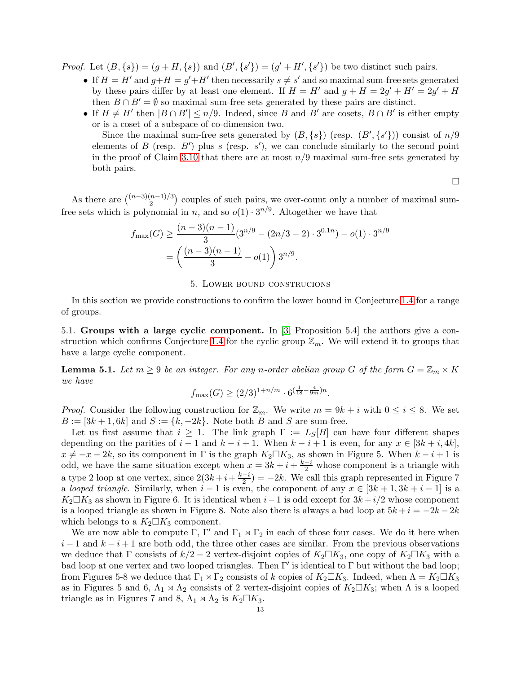*Proof.* Let  $(B, \{s\}) = (g + H, \{s\})$  and  $(B', \{s'\}) = (g' + H', \{s'\})$  be two distinct such pairs.

- If  $H = H'$  and  $g + H = g' + H'$  then necessarily  $s \neq s'$  and so maximal sum-free sets generated by these pairs differ by at least one element. If  $H = H'$  and  $g + H = 2g' + H' = 2g' + H$ then  $B \cap B' = \emptyset$  so maximal sum-free sets generated by these pairs are distinct.
- If  $H \neq H'$  then  $|B \cap B'| \leq n/9$ . Indeed, since B and B' are cosets,  $B \cap B'$  is either empty or is a coset of a subspace of co-dimension two.

Since the maximal sum-free sets generated by  $(B, \{s\})$  (resp.  $(B', \{s'\})$ ) consist of  $n/9$ elements of B (resp.  $B'$ ) plus s (resp. s'), we can conclude similarly to the second point in the proof of Claim [3.10](#page-7-1) that there are at most  $n/9$  maximal sum-free sets generated by both pairs.

 $\Box$ 

As there are  $\binom{(n-3)(n-1)/3}{2}$  couples of such pairs, we over-count only a number of maximal sumfree sets which is polynomial in *n*, and so  $o(1) \cdot 3^{n/9}$ . Altogether we have that

$$
f_{\max}(G) \ge \frac{(n-3)(n-1)}{3} (3^{n/9} - (2n/3 - 2) \cdot 3^{0.1n}) - o(1) \cdot 3^{n/9}
$$

$$
= \left(\frac{(n-3)(n-1)}{3} - o(1)\right) 3^{n/9}.
$$

### 5. Lower bound construcions

<span id="page-12-0"></span>In this section we provide constructions to confirm the lower bound in Conjecture [1.4](#page-1-3) for a range of groups.

5.1. Groups with a large cyclic component. In [\[3,](#page-17-4) Proposition 5.4] the authors give a con-struction which confirms Conjecture [1.4](#page-1-3) for the cyclic group  $\mathbb{Z}_m$ . We will extend it to groups that have a large cyclic component.

<span id="page-12-1"></span>**Lemma 5.1.** Let  $m \geq 9$  be an integer. For any n-order abelian group G of the form  $G = \mathbb{Z}_m \times K$ *we have*

$$
f_{\max}(G) \ge (2/3)^{1+n/m} \cdot 6^{\left(\frac{1}{18} - \frac{4}{9m}\right)n}.
$$

*Proof.* Consider the following construction for  $\mathbb{Z}_m$ . We write  $m = 9k + i$  with  $0 \le i \le 8$ . We set  $B := [3k + 1, 6k]$  and  $S := \{k, -2k\}$ . Note both B and S are sum-free.

Let us first assume that  $i \geq 1$ . The link graph  $\Gamma := L_S[B]$  can have four different shapes depending on the parities of  $i-1$  and  $k-i+1$ . When  $k-i+1$  is even, for any  $x \in [3k+i, 4k]$ ,  $x \neq -x - 2k$ , so its component in Γ is the graph  $K_2 \square K_3$ , as shown in Figure 5. When  $k - i + 1$  is odd, we have the same situation except when  $x = 3k + i + \frac{k-i}{2}$  whose component is a triangle with a type 2 loop at one vertex, since  $2(3k+i+\frac{k-i}{2}) = -2k$ . We call this graph represented in Figure 7 a *looped triangle*. Similarly, when  $i - 1$  is even, the component of any  $x \in [3k + 1, 3k + i - 1]$  is a  $K_2\square K_3$  as shown in Figure 6. It is identical when  $i-1$  is odd except for  $3k+i/2$  whose component is a looped triangle as shown in Figure 8. Note also there is always a bad loop at  $5k + i = -2k - 2k$ which belongs to a  $K_2 \square K_3$  component.

We are now able to compute  $\Gamma$ ,  $\Gamma'$  and  $\Gamma_1 \rtimes \Gamma_2$  in each of those four cases. We do it here when  $i-1$  and  $k-i+1$  are both odd, the three other cases are similar. From the previous observations we deduce that Γ consists of  $k/2 - 2$  vertex-disjoint copies of  $K_2 \square K_3$ , one copy of  $K_2 \square K_3$  with a bad loop at one vertex and two looped triangles. Then  $\Gamma'$  is identical to  $\Gamma$  but without the bad loop; from Figures 5-8 we deduce that  $\Gamma_1 \rtimes \Gamma_2$  consists of k copies of  $K_2 \square K_3$ . Indeed, when  $\Lambda = K_2 \square K_3$ as in Figures 5 and 6,  $\Lambda_1 \rtimes \Lambda_2$  consists of 2 vertex-disjoint copies of  $K_2 \square K_3$ ; when  $\Lambda$  is a looped triangle as in Figures 7 and 8,  $\Lambda_1 \rtimes \Lambda_2$  is  $K_2 \square K_3$ .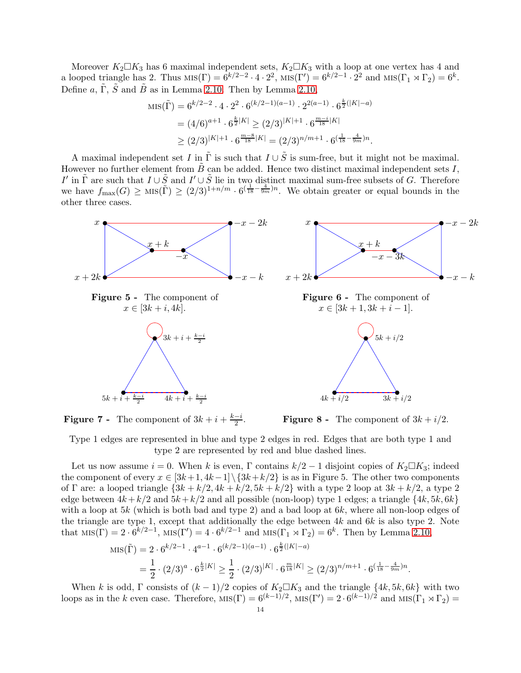Moreover  $K_2 \Box K_3$  has 6 maximal independent sets,  $K_2 \Box K_3$  with a loop at one vertex has 4 and a looped triangle has 2. Thus  $\text{MIS}(\Gamma) = 6^{k/2-2} \cdot 4 \cdot 2^2$ ,  $\text{MIS}(\Gamma') = 6^{k/2-1} \cdot 2^2$  and  $\text{MIS}(\Gamma_1 \rtimes \Gamma_2) = 6^k$ . Define a,  $\tilde{\Gamma}$ ,  $\tilde{S}$  and  $\tilde{B}$  as in Lemma [2.10.](#page-4-1) Then by Lemma [2.10,](#page-4-1)

$$
MIS(\tilde{\Gamma}) = 6^{k/2 - 2} \cdot 4 \cdot 2^2 \cdot 6^{(k/2 - 1)(a - 1)} \cdot 2^{2(a - 1)} \cdot 6^{\frac{k}{2}(|K| - a)}
$$
  
=  $(4/6)^{a + 1} \cdot 6^{\frac{k}{2}|K|} \ge (2/3)^{|K| + 1} \cdot 6^{\frac{m - i}{18}|K|}$   
 $\ge (2/3)^{|K| + 1} \cdot 6^{\frac{m - 8}{18}|K|} = (2/3)^{n/m + 1} \cdot 6^{\left(\frac{1}{18} - \frac{4}{9m}\right)n}.$ 

A maximal independent set I in  $\tilde{\Gamma}$  is such that  $I \cup \tilde{S}$  is sum-free, but it might not be maximal. However no further element from  $\hat{B}$  can be added. Hence two distinct maximal independent sets I, I' in  $\tilde{\Gamma}$  are such that  $I \cup \tilde{S}$  and  $I' \cup \tilde{S}$  lie in two distinct maximal sum-free subsets of G. Therefore we have  $f_{\max}(G) \ge \text{MIS}(\tilde{\Gamma}) \ge (2/3)^{1+n/m} \cdot 6^{(\frac{1}{18} - \frac{4}{9m})n}$ . We obtain greater or equal bounds in the other three cases.



**Figure 7** - The component of  $3k + i + \frac{k-i}{2}$ .

**Figure 8 -** The component of  $3k + i/2$ .

Type 1 edges are represented in blue and type 2 edges in red. Edges that are both type 1 and type 2 are represented by red and blue dashed lines.

Let us now assume  $i = 0$ . When k is even, Γ contains  $k/2 - 1$  disjoint copies of  $K_2 \square K_3$ ; indeed the component of every  $x \in [3k+1, 4k-1] \setminus \{3k+k/2\}$  is as in Figure 5. The other two components of Γ are: a looped triangle  $\{3k + k/2, 4k + k/2, 5k + k/2\}$  with a type 2 loop at  $3k + k/2$ , a type 2 edge between  $4k+k/2$  and  $5k+k/2$  and all possible (non-loop) type 1 edges; a triangle  $\{4k, 5k, 6k\}$ with a loop at 5k (which is both bad and type 2) and a bad loop at  $6k$ , where all non-loop edges of the triangle are type 1, except that additionally the edge between  $4k$  and  $6k$  is also type 2. Note that  $MIS(\Gamma) = 2 \cdot 6^{k/2 - 1}$ ,  $MIS(\Gamma') = 4 \cdot 6^{k/2 - 1}$  and  $MIS(\Gamma_1 \rtimes \Gamma_2) = 6^k$ . Then by Lemma [2.10,](#page-4-1)

$$
MIS(\tilde{\Gamma}) = 2 \cdot 6^{k/2 - 1} \cdot 4^{a-1} \cdot 6^{(k/2 - 1)(a-1)} \cdot 6^{\frac{k}{2}(|K| - a)}
$$
  
=  $\frac{1}{2} \cdot (2/3)^a \cdot 6^{\frac{k}{2}|K|} \ge \frac{1}{2} \cdot (2/3)^{|K|} \cdot 6^{\frac{m}{18}|K|} \ge (2/3)^{n/m + 1} \cdot 6^{\left(\frac{1}{18} - \frac{4}{9m}\right)n}.$ 

When k is odd, Γ consists of  $(k-1)/2$  copies of  $K_2 \square K_3$  and the triangle  $\{4k, 5k, 6k\}$  with two loops as in the k even case. Therefore,  $MIS(\Gamma) = 6^{(k-1)/2}$ ,  $MIS(\Gamma') = 2 \cdot 6^{(k-1)/2}$  and  $MIS(\Gamma_1 \rtimes \Gamma_2) =$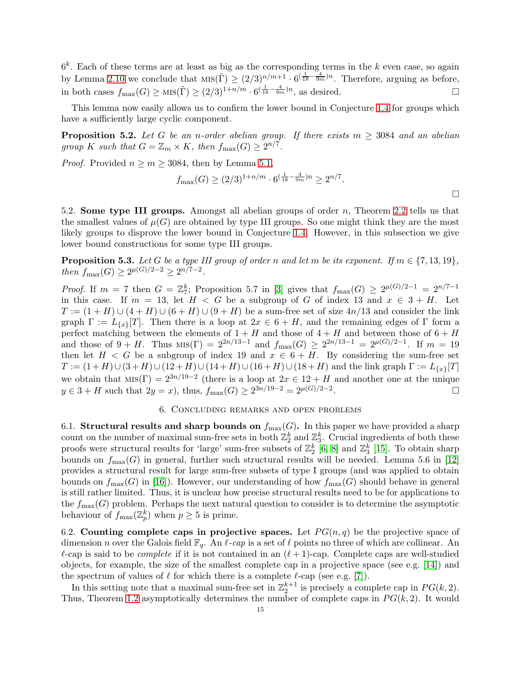$6<sup>k</sup>$ . Each of these terms are at least as big as the corresponding terms in the k even case, so again by Lemma [2.10](#page-4-1) we conclude that  $\text{MIS}(\tilde{\Gamma}) \geq (2/3)^{n/m+1} \cdot 6^{(\frac{1}{18} - \frac{4}{9m})n}$ . Therefore, arguing as before, in both cases  $f_{\text{max}}(G) \ge \text{MIS}(\tilde{\Gamma}) \ge (2/3)^{1+n/m} \cdot 6^{(\frac{1}{18} - \frac{4}{9m})n}$ , as desired.

This lemma now easily allows us to confirm the lower bound in Conjecture [1.4](#page-1-3) for groups which have a sufficiently large cyclic component.

<span id="page-14-1"></span>**Proposition 5.2.** Let G be an n-order abelian group. If there exists  $m \geq 3084$  and an abelian *group K* such that  $G = \mathbb{Z}_m \times K$ , then  $f_{\text{max}}(G) \geq 2^{n/7}$ .

*Proof.* Provided  $n \geq m \geq 3084$ , then by Lemma [5.1,](#page-12-1)

$$
f_{\max}(G) \ge (2/3)^{1+n/m} \cdot 6^{(\frac{1}{18} - \frac{4}{9m})n} \ge 2^{n/7}.
$$

5.2. Some type III groups. Amongst all abelian groups of order n, Theorem [2.2](#page-2-0) tells us that the smallest values of  $\mu(G)$  are obtained by type III groups. So one might think they are the most likely groups to disprove the lower bound in Conjecture [1.4.](#page-1-3) However, in this subsection we give lower bound constructions for some type III groups.

**Proposition 5.3.** *Let* G *be a type III group of order* n and let m *be its exponent. If*  $m \in \{7, 13, 19\}$ *, then*  $f_{\text{max}}(G) \geq 2^{\mu(G)/2 - 2} \geq 2^{n/7 - 2}$ *.* 

*Proof.* If  $m = 7$  then  $G = \mathbb{Z}_7^k$ ; Proposition 5.7 in [\[3\]](#page-17-4) gives that  $f_{\text{max}}(G) \geq 2^{\mu(G)/2 - 1} = 2^{n/7 - 1}$ in this case. If  $m = 13$ , let  $H < G$  be a subgroup of G of index 13 and  $x \in 3 + H$ . Let  $T := (1 + H) \cup (4 + H) \cup (6 + H) \cup (9 + H)$  be a sum-free set of size  $4n/13$  and consider the link graph  $\Gamma := L_{\{x\}}[T]$ . Then there is a loop at  $2x \in 6 + H$ , and the remaining edges of  $\Gamma$  form a perfect matching between the elements of  $1 + H$  and those of  $4 + H$  and between those of  $6 + H$ and those of  $9 + H$ . Thus  $\text{MIS}(\Gamma) = 2^{2n/13-1}$  and  $f_{\text{max}}(G) \ge 2^{2n/13-1} = 2^{\mu(G)/2-1}$ . If  $m = 19$ then let  $H < G$  be a subgroup of index 19 and  $x \in 6 + H$ . By considering the sum-free set  $T := (1 + H) \cup (3 + H) \cup (12 + H) \cup (14 + H) \cup (16 + H) \cup (18 + H)$  and the link graph  $\Gamma := L_{\{x\}}[T]$ we obtain that  $MS(\Gamma) = 2^{3n/19-2}$  (there is a loop at  $2x \in 12 + H$  and another one at the unique  $y \in 3 + H$  such that  $2y = x$ , thus,  $f_{\text{max}}(G) \ge 2^{3n/19 - 2} = 2^{\mu(G)/2 - 2}$ . — Первый процесс в постановки программа в серверном становки производительно становки производите с производ<br>В серверном становки производительно становки производительно становки производительно становки производительн

# 6. Concluding remarks and open problems

<span id="page-14-2"></span>6.1. Structural results and sharp bounds on  $f_{\text{max}}(G)$ . In this paper we have provided a sharp count on the number of maximal sum-free sets in both  $\mathbb{Z}_2^k$  and  $\mathbb{Z}_3^k$ . Crucial ingredients of both these proofs were structural results for 'large' sum-free subsets of  $\mathbb{Z}_2^k$  [\[6,](#page-17-9) [8\]](#page-17-10) and  $\mathbb{Z}_3^k$  [\[15\]](#page-17-13). To obtain sharp bounds on  $f_{\text{max}}(G)$  in general, further such structural results will be needed. Lemma 5.6 in [\[12\]](#page-17-6) provides a structural result for large sum-free subsets of type I groups (and was applied to obtain bounds on  $f_{\text{max}}(G)$  in [\[16\]](#page-17-11)). However, our understanding of how  $f_{\text{max}}(G)$  should behave in general is still rather limited. Thus, it is unclear how precise structural results need to be for applications to the  $f_{\text{max}}(G)$  problem. Perhaps the next natural question to consider is to determine the asymptotic behaviour of  $f_{\text{max}}(\mathbb{Z}_p^k)$  when  $p \geq 5$  is prime.

<span id="page-14-0"></span>6.2. Counting complete caps in projective spaces. Let  $PG(n, q)$  be the projective space of dimension n over the Galois field  $\mathbb{F}_q$ . An  $\ell$ -cap is a set of  $\ell$  points no three of which are collinear. An  $\ell$ -cap is said to be *complete* if it is not contained in an  $(\ell + 1)$ -cap. Complete caps are well-studied objects, for example, the size of the smallest complete cap in a projective space (see e.g. [\[14\]](#page-17-17)) and the spectrum of values of  $\ell$  for which there is a complete  $\ell$ -cap (see e.g. [\[7\]](#page-17-18)).

In this setting note that a maximal sum-free set in  $\mathbb{Z}_2^{k+1}$  is precisely a complete cap in  $PG(k, 2)$ . Thus, Theorem [1.2](#page-1-0) asymptotically determines the number of complete caps in  $PG(k, 2)$ . It would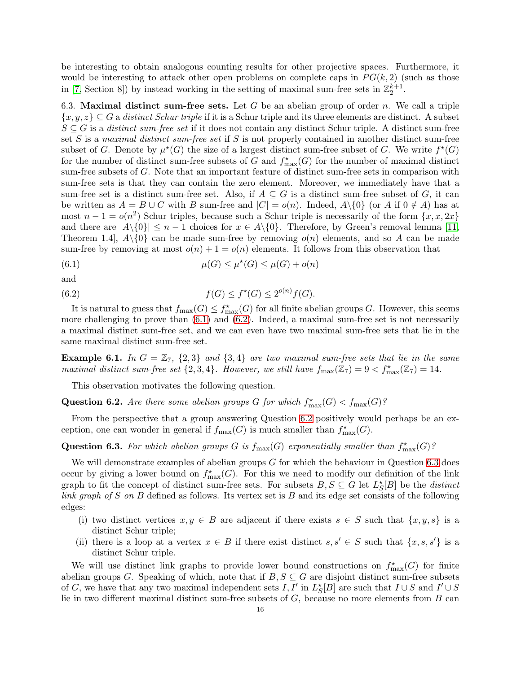be interesting to obtain analogous counting results for other projective spaces. Furthermore, it would be interesting to attack other open problems on complete caps in  $PG(k, 2)$  (such as those in [\[7,](#page-17-18) Section 8]) by instead working in the setting of maximal sum-free sets in  $\mathbb{Z}_2^{k+1}$ .

6.3. Maximal distinct sum-free sets. Let G be an abelian group of order n. We call a triple {x, y, z} ⊆ G a *distinct Schur triple* if it is a Schur triple and its three elements are distinct. A subset S ⊆ G is a *distinct sum-free set* if it does not contain any distinct Schur triple. A distinct sum-free set S is a *maximal distinct sum-free set* if S is not properly contained in another distinct sum-free subset of G. Denote by  $\mu^*(G)$  the size of a largest distinct sum-free subset of G. We write  $f^*(G)$ for the number of distinct sum-free subsets of G and  $f_{\max}^*(G)$  for the number of maximal distinct sum-free subsets of G. Note that an important feature of distinct sum-free sets in comparison with sum-free sets is that they can contain the zero element. Moreover, we immediately have that a sum-free set is a distinct sum-free set. Also, if  $A \subseteq G$  is a distinct sum-free subset of G, it can be written as  $A = B \cup C$  with B sum-free and  $|C| = o(n)$ . Indeed,  $A \setminus \{0\}$  (or A if  $0 \notin A$ ) has at most  $n-1 = o(n^2)$  Schur triples, because such a Schur triple is necessarily of the form  $\{x, x, 2x\}$ and there are  $|A\setminus\{0\}| \leq n-1$  choices for  $x \in A\setminus\{0\}$ . Therefore, by Green's removal lemma [\[11,](#page-17-16) Theorem 1.4,  $A\setminus\{0\}$  can be made sum-free by removing  $o(n)$  elements, and so A can be made sum-free by removing at most  $o(n) + 1 = o(n)$  elements. It follows from this observation that

<span id="page-15-0"></span>(6.1) 
$$
\mu(G) \leq \mu^*(G) \leq \mu(G) + o(n)
$$

and

<span id="page-15-1"></span>(6.2) 
$$
f(G) \le f^*(G) \le 2^{o(n)} f(G).
$$

It is natural to guess that  $f_{\max}(G) \leq f_{\max}^*(G)$  for all finite abelian groups G. However, this seems more challenging to prove than  $(6.1)$  and  $(6.2)$ . Indeed, a maximal sum-free set is not necessarily a maximal distinct sum-free set, and we can even have two maximal sum-free sets that lie in the same maximal distinct sum-free set.

**Example 6.1.** In  $G = \mathbb{Z}_7$ ,  $\{2,3\}$  and  $\{3,4\}$  are two maximal sum-free sets that lie in the same *maximal distinct sum-free set*  $\{2,3,4\}$ *. However, we still have*  $f_{\text{max}}(\mathbb{Z}_7) = 9 < f_{\text{max}}^*(\mathbb{Z}_7) = 14$ *.* 

This observation motivates the following question.

<span id="page-15-2"></span>Question 6.2. *Are there some abelian groups*  $G$  *for which*  $f_{\max}^*(G) < f_{\max}(G)$ ?

From the perspective that a group answering Question [6.2](#page-15-2) positively would perhaps be an exception, one can wonder in general if  $f_{\text{max}}(G)$  is much smaller than  $f_{\text{max}}^{\star}(G)$ .

# <span id="page-15-3"></span>Question 6.3. For which abelian groups G is  $f_{\text{max}}(G)$  exponentially smaller than  $f_{\text{max}}^{\star}(G)$ ?

We will demonstrate examples of abelian groups  $G$  for which the behaviour in Question [6.3](#page-15-3) does occur by giving a lower bound on  $f_{\max}^{\star}(G)$ . For this we need to modify our definition of the link graph to fit the concept of distinct sum-free sets. For subsets  $B, S \subseteq G$  let  $L_S^{\star}[B]$  be the *distinct link graph of* S *on* B defined as follows. Its vertex set is B and its edge set consists of the following edges:

- (i) two distinct vertices  $x, y \in B$  are adjacent if there exists  $s \in S$  such that  $\{x, y, s\}$  is a distinct Schur triple;
- (ii) there is a loop at a vertex  $x \in B$  if there exist distinct  $s, s' \in S$  such that  $\{x, s, s'\}$  is a distinct Schur triple.

We will use distinct link graphs to provide lower bound constructions on  $f_{\max}^*(G)$  for finite abelian groups G. Speaking of which, note that if  $B, S \subseteq G$  are disjoint distinct sum-free subsets of G, we have that any two maximal independent sets  $I, I'$  in  $L^*_{S}[B]$  are such that  $I \cup S$  and  $I' \cup S$ lie in two different maximal distinct sum-free subsets of  $G$ , because no more elements from  $B$  can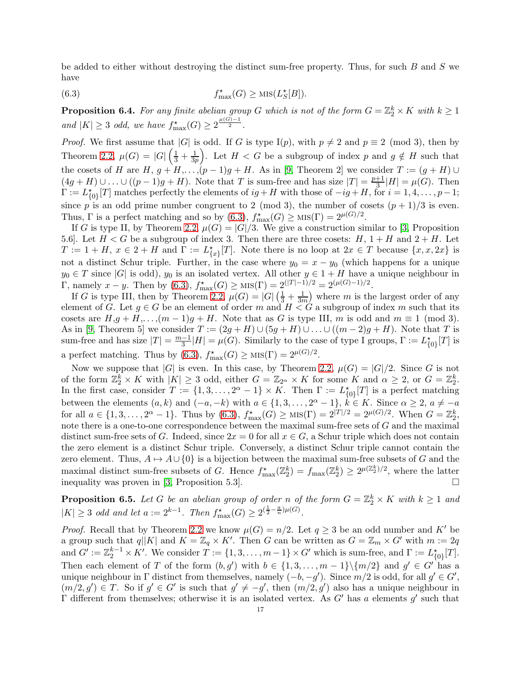be added to either without destroying the distinct sum-free property. Thus, for such  $B$  and  $S$  we have

<span id="page-16-0"></span>(6.3) 
$$
f_{\max}^{\star}(G) \geq \text{MIS}(L_{S}^{\star}[B]).
$$

<span id="page-16-2"></span>**Proposition 6.4.** For any finite abelian group G which is not of the form  $G = \mathbb{Z}_2^k \times K$  with  $k \geq 1$ *and*  $|K| \geq 3$  *odd, we have*  $f_{\max}^{\star}(G) \geq 2^{\frac{\mu(G)-1}{2}}$ .

*Proof.* We first assume that |G| is odd. If G is type I(p), with  $p \neq 2$  and  $p \equiv 2 \pmod{3}$ , then by Theorem [2.2,](#page-2-0)  $\mu(G) = |G| \left( \frac{1}{3} + \frac{1}{3p} \right)$  $\frac{1}{3p}$ . Let  $H < G$  be a subgroup of index p and  $g \notin H$  such that the cosets of H are  $H, g + H, \ldots, (p-1)g + H$ . As in [\[9,](#page-17-5) Theorem 2] we consider  $T := (g + H) \cup$  $(4g+H) \cup \ldots \cup ((p-1)g+H)$ . Note that T is sum-free and has size  $|T| = \frac{p+1}{3}$  $\frac{+1}{3}$ |H| =  $\mu(G)$ . Then  $\Gamma := L_{\{0\}}^{\star}[T]$  matches perfectly the elements of  $ig + H$  with those of  $-ig + H$ , for  $i = 1, 4, \ldots, p-1$ ; since p is an odd prime number congruent to 2 (mod 3), the number of cosets  $(p+1)/3$  is even. Thus,  $\Gamma$  is a perfect matching and so by  $(6.3)$ ,  $f_{\text{max}}^*(G) \ge \text{Mis}(\Gamma) = 2^{\mu(G)/2}$ .

If G is type II, by Theorem [2.2,](#page-2-0)  $\mu(G) = |G|/3$ . We give a construction similar to [\[3,](#page-17-4) Proposition 5.6. Let  $H < G$  be a subgroup of index 3. Then there are three cosets:  $H$ ,  $1 + H$  and  $2 + H$ . Let  $T := 1 + H, x \in 2 + H$  and  $\Gamma := L^*_{\{x\}}[T]$ . Note there is no loop at  $2x \in T$  because  $\{x, x, 2x\}$  is not a distinct Schur triple. Further, in the case where  $y_0 = x - y_0$  (which happens for a unique  $y_0 \in T$  since |G| is odd),  $y_0$  is an isolated vertex. All other  $y \in 1 + H$  have a unique neighbour in Γ, namely  $x - y$ . Then by [\(6.3\)](#page-16-0),  $f_{\text{max}}^{*}(G) \ge \text{MIS}(\Gamma) = 2^{(|T|-1)/2} = 2^{(\mu(G)-1)/2}$ .

If G is type III, then by Theorem [2.2,](#page-2-0)  $\mu(G) = |G| \left(\frac{1}{3} + \frac{1}{3n}\right)$  $\frac{1}{3m}$  where m is the largest order of any element of G. Let  $g \in G$  be an element of order m and  $H < G$  a subgroup of index m such that its cosets are  $H,g+H,\ldots,(m-1)g+H$ . Note that as G is type III, m is odd and  $m\equiv 1\pmod{3}$ . As in [\[9,](#page-17-5) Theorem 5] we consider  $T := (2g + H) \cup (5g + H) \cup ... \cup ((m - 2)g + H)$ . Note that T is sum-free and has size  $|T| = \frac{m-1}{3}|H| = \mu(G)$ . Similarly to the case of type I groups,  $\Gamma := L^*_{\{0\}}[T]$  is a perfect matching. Thus by [\(6.3\)](#page-16-0),  $f_{\text{max}}^{\star}(G) \ge \text{MIS}(\Gamma) = 2^{\mu(G)/2}$ .

Now we suppose that |G| is even. In this case, by Theorem [2.2,](#page-2-0)  $\mu(G) = |G|/2$ . Since G is not of the form  $\mathbb{Z}_2^k \times K$  with  $|K| \geq 3$  odd, either  $G = \mathbb{Z}_{2^\alpha} \times K$  for some K and  $\alpha \geq 2$ , or  $G = \mathbb{Z}_2^k$ . In the first case, consider  $T := \{1, 3, ..., 2^{\alpha} - 1\} \times K$ . Then  $\Gamma := L^*_{\{0\}}[T]$  is a perfect matching between the elements  $(a, k)$  and  $(-a, -k)$  with  $a \in \{1, 3, \ldots, 2^{\alpha} - 1\}$ ,  $k \in K$ . Since  $\alpha \geq 2$ ,  $a \neq -a$ for all  $a \in \{1, 3, ..., 2^{\alpha} - 1\}$ . Thus by  $(6.3)$ ,  $f_{\text{max}}^{\star}(G) \ge \text{MIS}(\Gamma) = 2^{|T|/2} = 2^{\mu(G)/2}$ . When  $G = \mathbb{Z}_2^k$ , note there is a one-to-one correspondence between the maximal sum-free sets of G and the maximal distinct sum-free sets of G. Indeed, since  $2x = 0$  for all  $x \in G$ , a Schur triple which does not contain the zero element is a distinct Schur triple. Conversely, a distinct Schur triple cannot contain the zero element. Thus,  $A \mapsto A \cup \{0\}$  is a bijection between the maximal sum-free subsets of G and the maximal distinct sum-free subsets of G. Hence  $f_{\text{max}}^{\star}(\mathbb{Z}_2^k) = f_{\text{max}}(\mathbb{Z}_2^k) \geq 2^{\mu(\mathbb{Z}_2^k)/2}$ , where the latter inequality was proven in [\[3,](#page-17-4) Proposition 5.3].

<span id="page-16-1"></span>**Proposition 6.5.** Let G be an abelian group of order n of the form  $G = \mathbb{Z}_2^k \times K$  with  $k \geq 1$  and  $|K| \geq 3$  *odd and let*  $a := 2^{k-1}$ *. Then*  $f_{\max}^{\star}(G) \geq 2^{(\frac{1}{2} - \frac{a}{n})\mu(G)}$ *.* 

*Proof.* Recall that by Theorem [2.2](#page-2-0) we know  $\mu(G) = n/2$ . Let  $q \geq 3$  be an odd number and K' be a group such that  $q||K|$  and  $K = \mathbb{Z}_q \times K'$ . Then G can be written as  $G = \mathbb{Z}_m \times G'$  with  $m := 2q$ and  $G' := \mathbb{Z}_2^{k-1} \times K'$ . We consider  $T := \{1, 3, \ldots, m-1\} \times G'$  which is sum-free, and  $\Gamma := L_{\{0\}}^*(T)$ . Then each element of T of the form  $(b, g')$  with  $b \in \{1, 3, \ldots, m-1\} \setminus \{m/2\}$  and  $g' \in G'$  has a unique neighbour in Γ distinct from themselves, namely  $(-b, -g')$ . Since  $m/2$  is odd, for all  $g' \in G'$ ,  $(m/2, g') \in T$ . So if  $g' \in G'$  is such that  $g' \neq -g'$ , then  $(m/2, g')$  also has a unique neighbour in  $Γ$  different from themselves; otherwise it is an isolated vertex. As  $G'$  has a elements  $g'$  such that